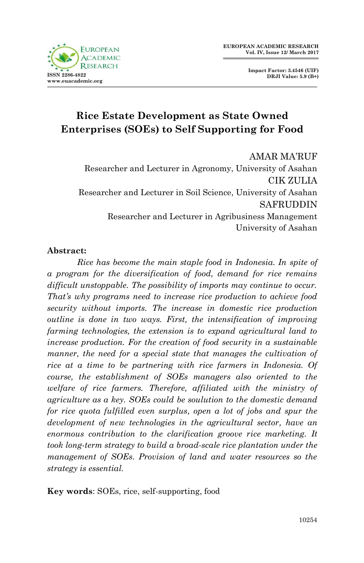

**Impact Factor: 3.4546 (UIF) DRJI Value: 5.9 (B+)**

# **Rice Estate Development as State Owned Enterprises (SOEs) to Self Supporting for Food**

AMAR MA'RUF Researcher and Lecturer in Agronomy, University of Asahan CIK ZULIA Researcher and Lecturer in Soil Science, University of Asahan SAFRUDDIN Researcher and Lecturer in Agribusiness Management University of Asahan

#### **Abstract:**

*Rice has become the main staple food in Indonesia. In spite of a program for the diversification of food, demand for rice remains difficult unstoppable. The possibility of imports may continue to occur. That's why programs need to increase rice production to achieve food security without imports. The increase in domestic rice production outline is done in two ways. First, the intensification of improving farming technologies, the extension is to expand agricultural land to increase production. For the creation of food security in a sustainable manner, the need for a special state that manages the cultivation of rice at a time to be partnering with rice farmers in Indonesia. Of course, the establishment of SOEs managers also oriented to the welfare of rice farmers. Therefore, affiliated with the ministry of agriculture as a key. SOEs could be soulution to the domestic demand for rice quota fulfilled even surplus, open a lot of jobs and spur the development of new technologies in the agricultural sector, have an enormous contribution to the clarification groove rice marketing. It took long-term strategy to build a broad-scale rice plantation under the management of SOEs. Provision of land and water resources so the strategy is essential.*

**Key words**: SOEs, rice, self-supporting, food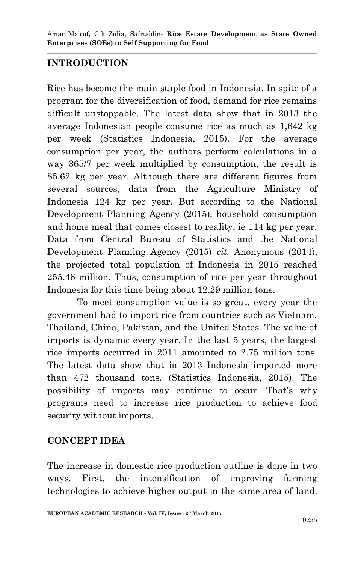## **INTRODUCTION**

Rice has become the main staple food in Indonesia. In spite of a program for the diversification of food, demand for rice remains difficult unstoppable. The latest data show that in 2013 the average Indonesian people consume rice as much as 1,642 kg per week (Statistics Indonesia, 2015). For the average consumption per year, the authors perform calculations in a way 365/7 per week multiplied by consumption, the result is 85.62 kg per year. Although there are different figures from several sources, data from the Agriculture Ministry of Indonesia 124 kg per year. But according to the National Development Planning Agency (2015), household consumption and home meal that comes closest to reality, ie 114 kg per year. Data from Central Bureau of Statistics and the National Development Planning Agency (2015) *cit.* Anonymous (2014), the projected total population of Indonesia in 2015 reached 255.46 million. Thus, consumption of rice per year throughout Indonesia for this time being about 12.29 million tons.

To meet consumption value is so great, every year the government had to import rice from countries such as Vietnam, Thailand, China, Pakistan, and the United States. The value of imports is dynamic every year. In the last 5 years, the largest rice imports occurred in 2011 amounted to 2.75 million tons. The latest data show that in 2013 Indonesia imported more than 472 thousand tons. (Statistics Indonesia, 2015). The possibility of imports may continue to occur. That's why programs need to increase rice production to achieve food security without imports.

## **CONCEPT IDEA**

The increase in domestic rice production outline is done in two ways. First, the intensification of improving farming technologies to achieve higher output in the same area of land.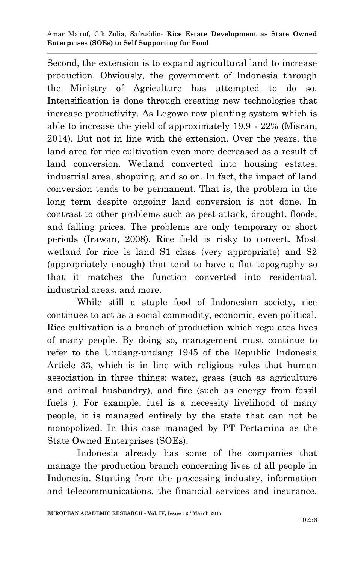Second, the extension is to expand agricultural land to increase production. Obviously, the government of Indonesia through the Ministry of Agriculture has attempted to do so. Intensification is done through creating new technologies that increase productivity. As Legowo row planting system which is able to increase the yield of approximately 19.9 - 22% (Misran, 2014). But not in line with the extension. Over the years, the land area for rice cultivation even more decreased as a result of land conversion. Wetland converted into housing estates, industrial area, shopping, and so on. In fact, the impact of land conversion tends to be permanent. That is, the problem in the long term despite ongoing land conversion is not done. In contrast to other problems such as pest attack, drought, floods, and falling prices. The problems are only temporary or short periods (Irawan, 2008). Rice field is risky to convert. Most wetland for rice is land S1 class (very appropriate) and S2 (appropriately enough) that tend to have a flat topography so that it matches the function converted into residential, industrial areas, and more.

While still a staple food of Indonesian society, rice continues to act as a social commodity, economic, even political. Rice cultivation is a branch of production which regulates lives of many people. By doing so, management must continue to refer to the Undang-undang 1945 of the Republic Indonesia Article 33, which is in line with religious rules that human association in three things: water, grass (such as agriculture and animal husbandry), and fire (such as energy from fossil fuels ). For example, fuel is a necessity livelihood of many people, it is managed entirely by the state that can not be monopolized. In this case managed by PT Pertamina as the State Owned Enterprises (SOEs).

Indonesia already has some of the companies that manage the production branch concerning lives of all people in Indonesia. Starting from the processing industry, information and telecommunications, the financial services and insurance,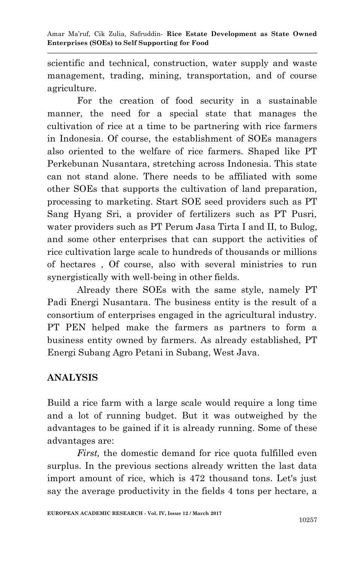scientific and technical, construction, water supply and waste management, trading, mining, transportation, and of course agriculture.

For the creation of food security in a sustainable manner, the need for a special state that manages the cultivation of rice at a time to be partnering with rice farmers in Indonesia. Of course, the establishment of SOEs managers also oriented to the welfare of rice farmers. Shaped like PT Perkebunan Nusantara, stretching across Indonesia. This state can not stand alone. There needs to be affiliated with some other SOEs that supports the cultivation of land preparation, processing to marketing. Start SOE seed providers such as PT Sang Hyang Sri, a provider of fertilizers such as PT Pusri, water providers such as PT Perum Jasa Tirta I and II, to Bulog, and some other enterprises that can support the activities of rice cultivation large scale to hundreds of thousands or millions of hectares , Of course, also with several ministries to run synergistically with well-being in other fields.

Already there SOEs with the same style, namely PT Padi Energi Nusantara. The business entity is the result of a consortium of enterprises engaged in the agricultural industry. PT PEN helped make the farmers as partners to form a business entity owned by farmers. As already established, PT Energi Subang Agro Petani in Subang, West Java.

# **ANALYSIS**

Build a rice farm with a large scale would require a long time and a lot of running budget. But it was outweighed by the advantages to be gained if it is already running. Some of these advantages are:

*First,* the domestic demand for rice quota fulfilled even surplus. In the previous sections already written the last data import amount of rice, which is 472 thousand tons. Let's just say the average productivity in the fields 4 tons per hectare, a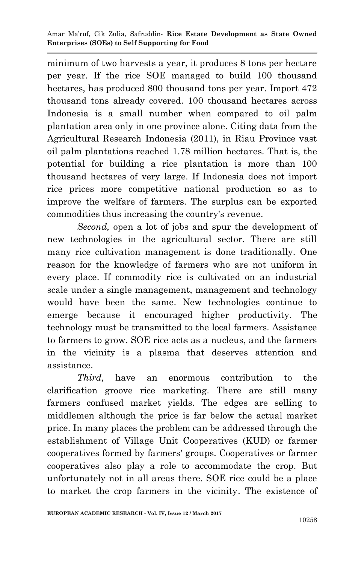minimum of two harvests a year, it produces 8 tons per hectare per year. If the rice SOE managed to build 100 thousand hectares, has produced 800 thousand tons per year. Import 472 thousand tons already covered. 100 thousand hectares across Indonesia is a small number when compared to oil palm plantation area only in one province alone. Citing data from the Agricultural Research Indonesia (2011), in Riau Province vast oil palm plantations reached 1.78 million hectares. That is, the potential for building a rice plantation is more than 100 thousand hectares of very large. If Indonesia does not import rice prices more competitive national production so as to improve the welfare of farmers. The surplus can be exported commodities thus increasing the country's revenue.

*Second,* open a lot of jobs and spur the development of new technologies in the agricultural sector. There are still many rice cultivation management is done traditionally. One reason for the knowledge of farmers who are not uniform in every place. If commodity rice is cultivated on an industrial scale under a single management, management and technology would have been the same. New technologies continue to emerge because it encouraged higher productivity. The technology must be transmitted to the local farmers. Assistance to farmers to grow. SOE rice acts as a nucleus, and the farmers in the vicinity is a plasma that deserves attention and assistance.

*Third,* have an enormous contribution to the clarification groove rice marketing. There are still many farmers confused market yields. The edges are selling to middlemen although the price is far below the actual market price. In many places the problem can be addressed through the establishment of Village Unit Cooperatives (KUD) or farmer cooperatives formed by farmers' groups. Cooperatives or farmer cooperatives also play a role to accommodate the crop. But unfortunately not in all areas there. SOE rice could be a place to market the crop farmers in the vicinity. The existence of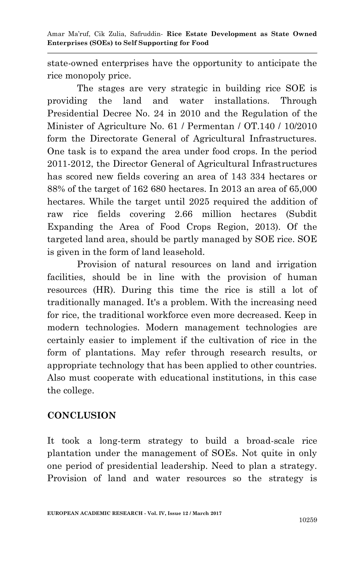Amar Ma'ruf, Cik Zulia, Safruddin*-* **Rice Estate Development as State Owned Enterprises (SOEs) to Self Supporting for Food**

state-owned enterprises have the opportunity to anticipate the rice monopoly price.

The stages are very strategic in building rice SOE is providing the land and water installations. Through Presidential Decree No. 24 in 2010 and the Regulation of the Minister of Agriculture No. 61 / Permentan / OT.140 / 10/2010 form the Directorate General of Agricultural Infrastructures. One task is to expand the area under food crops. In the period 2011-2012, the Director General of Agricultural Infrastructures has scored new fields covering an area of 143 334 hectares or 88% of the target of 162 680 hectares. In 2013 an area of 65,000 hectares. While the target until 2025 required the addition of raw rice fields covering 2.66 million hectares (Subdit Expanding the Area of Food Crops Region, 2013). Of the targeted land area, should be partly managed by SOE rice. SOE is given in the form of land leasehold.

Provision of natural resources on land and irrigation facilities, should be in line with the provision of human resources (HR). During this time the rice is still a lot of traditionally managed. It's a problem. With the increasing need for rice, the traditional workforce even more decreased. Keep in modern technologies. Modern management technologies are certainly easier to implement if the cultivation of rice in the form of plantations. May refer through research results, or appropriate technology that has been applied to other countries. Also must cooperate with educational institutions, in this case the college.

## **CONCLUSION**

It took a long-term strategy to build a broad-scale rice plantation under the management of SOEs. Not quite in only one period of presidential leadership. Need to plan a strategy. Provision of land and water resources so the strategy is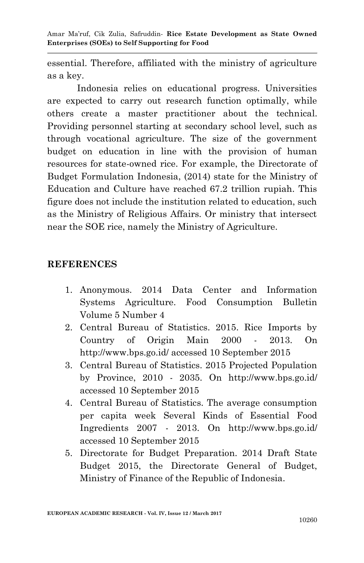Amar Ma'ruf, Cik Zulia, Safruddin*-* **Rice Estate Development as State Owned Enterprises (SOEs) to Self Supporting for Food**

essential. Therefore, affiliated with the ministry of agriculture as a key.

Indonesia relies on educational progress. Universities are expected to carry out research function optimally, while others create a master practitioner about the technical. Providing personnel starting at secondary school level, such as through vocational agriculture. The size of the government budget on education in line with the provision of human resources for state-owned rice. For example, the Directorate of Budget Formulation Indonesia, (2014) state for the Ministry of Education and Culture have reached 67.2 trillion rupiah. This figure does not include the institution related to education, such as the Ministry of Religious Affairs. Or ministry that intersect near the SOE rice, namely the Ministry of Agriculture.

#### **REFERENCES**

- 1. Anonymous. 2014 Data Center and Information Systems Agriculture. Food Consumption Bulletin Volume 5 Number 4
- 2. Central Bureau of Statistics. 2015. Rice Imports by Country of Origin Main 2000 - 2013. On http://www.bps.go.id/ accessed 10 September 2015
- 3. Central Bureau of Statistics. 2015 Projected Population by Province, 2010 - 2035. On http://www.bps.go.id/ accessed 10 September 2015
- 4. Central Bureau of Statistics. The average consumption per capita week Several Kinds of Essential Food Ingredients 2007 - 2013. On http://www.bps.go.id/ accessed 10 September 2015
- 5. Directorate for Budget Preparation. 2014 Draft State Budget 2015, the Directorate General of Budget, Ministry of Finance of the Republic of Indonesia.